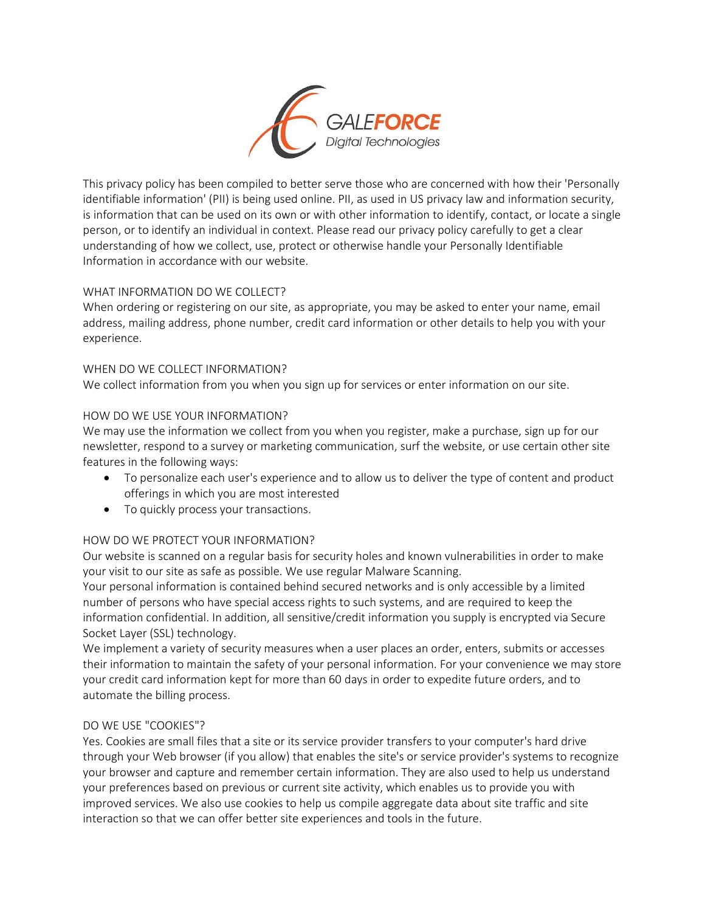

This privacy policy has been compiled to better serve those who are concerned with how their 'Personally identifiable information' (PII) is being used online. PII, as used in US privacy law and information security, is information that can be used on its own or with other information to identify, contact, or locate a single person, or to identify an individual in context. Please read our privacy policy carefully to get a clear understanding of how we collect, use, protect or otherwise handle your Personally Identifiable Information in accordance with our website.

## WHAT INFORMATION DO WE COLLECT?

When ordering or registering on our site, as appropriate, you may be asked to enter your name, email address, mailing address, phone number, credit card information or other details to help you with your experience.

### WHEN DO WE COLLECT INFORMATION?

We collect information from you when you sign up for services or enter information on our site.

### HOW DO WE USE YOUR INFORMATION?

We may use the information we collect from you when you register, make a purchase, sign up for our newsletter, respond to a survey or marketing communication, surf the website, or use certain other site features in the following ways:

- To personalize each user's experience and to allow us to deliver the type of content and product offerings in which you are most interested
- To quickly process your transactions.

### HOW DO WE PROTECT YOUR INFORMATION?

Our website is scanned on a regular basis for security holes and known vulnerabilities in order to make your visit to our site as safe as possible. We use regular Malware Scanning.

Your personal information is contained behind secured networks and is only accessible by a limited number of persons who have special access rights to such systems, and are required to keep the information confidential. In addition, all sensitive/credit information you supply is encrypted via Secure Socket Layer (SSL) technology.

We implement a variety of security measures when a user places an order, enters, submits or accesses their information to maintain the safety of your personal information. For your convenience we may store your credit card information kept for more than 60 days in order to expedite future orders, and to automate the billing process.

### DO WE USE "COOKIES"?

Yes. Cookies are small files that a site or its service provider transfers to your computer's hard drive through your Web browser (if you allow) that enables the site's or service provider's systems to recognize your browser and capture and remember certain information. They are also used to help us understand your preferences based on previous or current site activity, which enables us to provide you with improved services. We also use cookies to help us compile aggregate data about site traffic and site interaction so that we can offer better site experiences and tools in the future.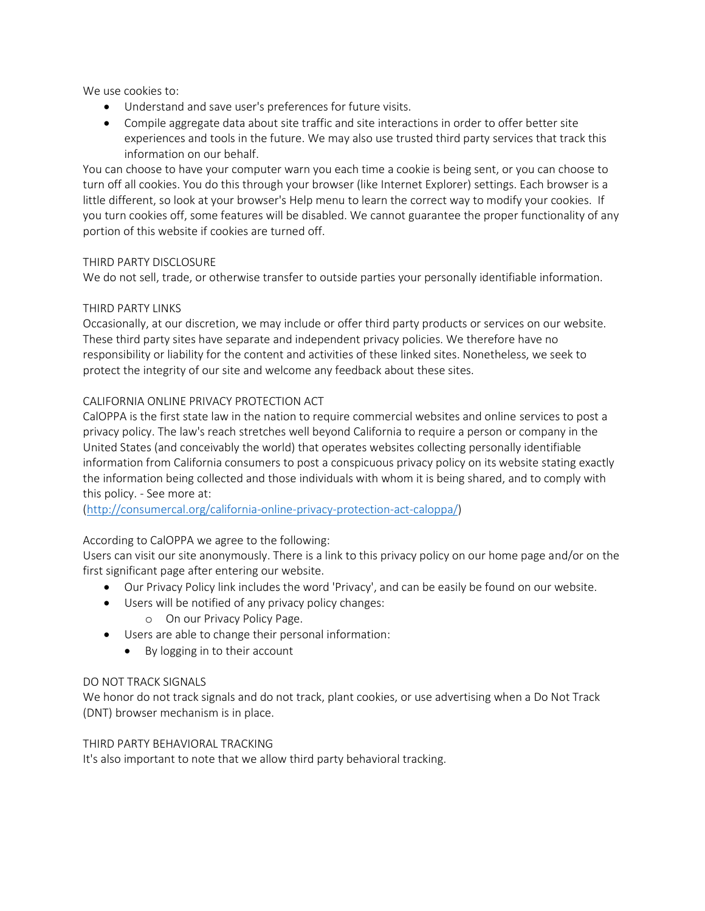We use cookies to:

- Understand and save user's preferences for future visits.
- Compile aggregate data about site traffic and site interactions in order to offer better site experiences and tools in the future. We may also use trusted third party services that track this information on our behalf.

You can choose to have your computer warn you each time a cookie is being sent, or you can choose to turn off all cookies. You do this through your browser (like Internet Explorer) settings. Each browser is a little different, so look at your browser's Help menu to learn the correct way to modify your cookies. If you turn cookies off, some features will be disabled. We cannot guarantee the proper functionality of any portion of this website if cookies are turned off.

## THIRD PARTY DISCLOSURE

We do not sell, trade, or otherwise transfer to outside parties your personally identifiable information.

## THIRD PARTY LINKS

Occasionally, at our discretion, we may include or offer third party products or services on our website. These third party sites have separate and independent privacy policies. We therefore have no responsibility or liability for the content and activities of these linked sites. Nonetheless, we seek to protect the integrity of our site and welcome any feedback about these sites.

## CALIFORNIA ONLINE PRIVACY PROTECTION ACT

CalOPPA is the first state law in the nation to require commercial websites and online services to post a privacy policy. The law's reach stretches well beyond California to require a person or company in the United States (and conceivably the world) that operates websites collecting personally identifiable information from California consumers to post a conspicuous privacy policy on its website stating exactly the information being collected and those individuals with whom it is being shared, and to comply with this policy. - See more at:

[\(http://consumercal.org/california-online-privacy-protection-act-caloppa/\)](http://consumercal.org/california-online-privacy-protection-act-caloppa/)

# According to CalOPPA we agree to the following:

Users can visit our site anonymously. There is a link to this privacy policy on our home page and/or on the first significant page after entering our website.

- Our Privacy Policy link includes the word 'Privacy', and can be easily be found on our website.
- Users will be notified of any privacy policy changes:
	- o On our Privacy Policy Page.
- Users are able to change their personal information:
	- By logging in to their account

### DO NOT TRACK SIGNALS

We honor do not track signals and do not track, plant cookies, or use advertising when a Do Not Track (DNT) browser mechanism is in place.

### THIRD PARTY BEHAVIORAL TRACKING

It's also important to note that we allow third party behavioral tracking.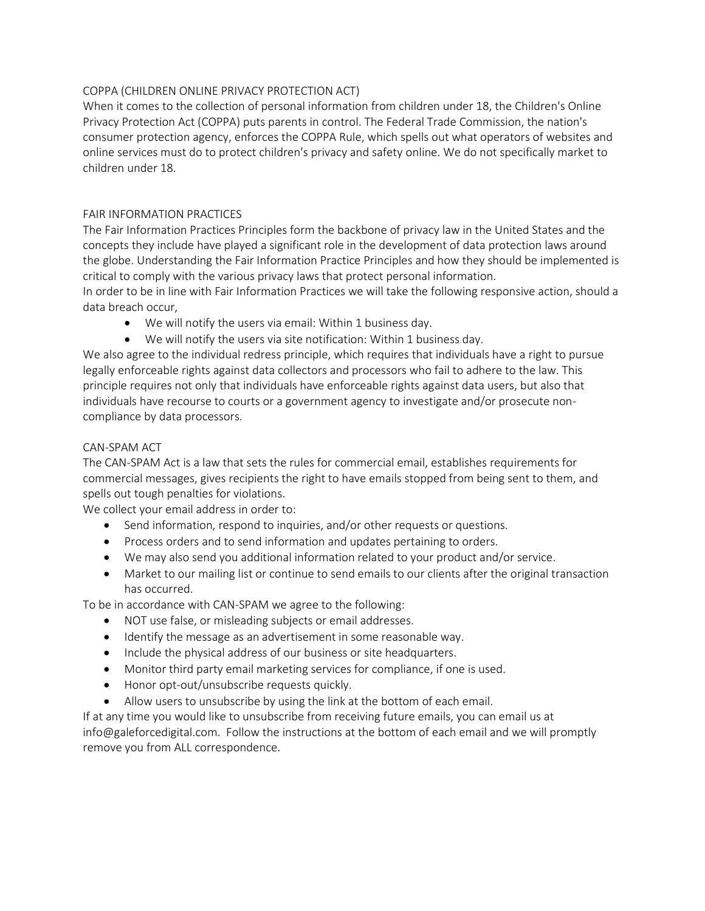## COPPA (CHILDREN ONLINE PRIVACY PROTECTION ACT)

When it comes to the collection of personal information from children under 18, the Children's Online Privacy Protection Act (COPPA) puts parents in control. The Federal Trade Commission, the nation's consumer protection agency, enforces the COPPA Rule, which spells out what operators of websites and online services must do to protect children's privacy and safety online. We do not specifically market to children under 18.

### FAIR INFORMATION PRACTICES

The Fair Information Practices Principles form the backbone of privacy law in the United States and the concepts they include have played a significant role in the development of data protection laws around the globe. Understanding the Fair Information Practice Principles and how they should be implemented is critical to comply with the various privacy laws that protect personal information.

In order to be in line with Fair Information Practices we will take the following responsive action, should a data breach occur,

- We will notify the users via email: Within 1 business day.
- We will notify the users via site notification: Within 1 business day.

We also agree to the individual redress principle, which requires that individuals have a right to pursue legally enforceable rights against data collectors and processors who fail to adhere to the law. This principle requires not only that individuals have enforceable rights against data users, but also that individuals have recourse to courts or a government agency to investigate and/or prosecute noncompliance by data processors.

### CAN-SPAM ACT

The CAN-SPAM Act is a law that sets the rules for commercial email, establishes requirements for commercial messages, gives recipients the right to have emails stopped from being sent to them, and spells out tough penalties for violations.

We collect your email address in order to:

- Send information, respond to inquiries, and/or other requests or questions.
- Process orders and to send information and updates pertaining to orders.
- We may also send you additional information related to your product and/or service.
- Market to our mailing list or continue to send emails to our clients after the original transaction has occurred.

To be in accordance with CAN-SPAM we agree to the following:

- NOT use false, or misleading subjects or email addresses.
- Identify the message as an advertisement in some reasonable way.
- Include the physical address of our business or site headquarters.
- Monitor third party email marketing services for compliance, if one is used.
- Honor opt-out/unsubscribe requests quickly.
- Allow users to unsubscribe by using the link at the bottom of each email.

If at any time you would like to unsubscribe from receiving future emails, you can email us at info@galeforcedigital.com. Follow the instructions at the bottom of each email and we will promptly remove you from ALL correspondence.